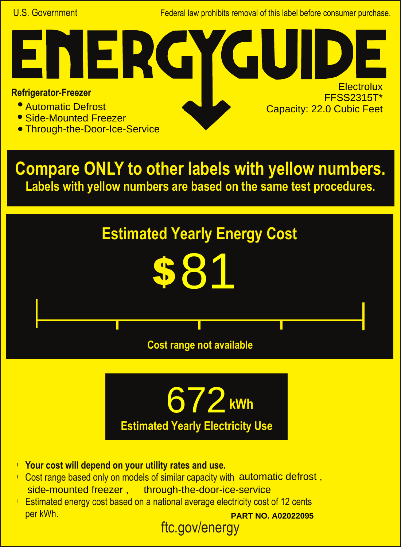U.S. Government **Federal law prohibits removal of this label before consumer purchase.** 

G

**Electrolux** FFSS2315T\*

Capacity: 22.0 Cubic Feet

## **Refrigerator-Freezer**

- Automatic Defrost
- Side-Mounted Freezer
- **Through-the-Door-Ice-Service**

NER

**Compare ONLY to other labels with yellow numbers. Labels with yellow numbers are based on the same test procedures.**





- **Your cost will depend on your utility rates and use.** l
- Cost range based only on models of similar capacity with automatic defrost, side-mounted freezer , through-the-door-ice-service
- **Estimated energy cost based on a national average electricity cost of 12 cents** per kWh. **PART NO. A02022095**

ftc.gov/energy